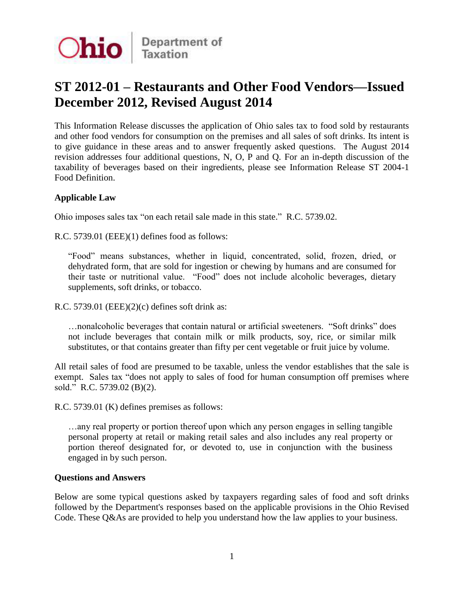

# **ST 2012-01 – Restaurants and Other Food Vendors—Issued December 2012, Revised August 2014**

 This Information Release discusses the application of Ohio sales tax to food sold by restaurants and other food vendors for consumption on the premises and all sales of soft drinks. Its intent is to give guidance in these areas and to answer frequently asked questions. The August 2014 revision addresses four additional questions, N, O, P and Q. For an in-depth discussion of the taxability of beverages based on their ingredients, please see Information Release ST 2004-1 Food Definition.

## **Applicable Law**

Ohio imposes sales tax "on each retail sale made in this state." R.C. 5739.02.

R.C. 5739.01 (EEE)(1) defines food as follows:

 dehydrated form, that are sold for ingestion or chewing by humans and are consumed for their taste or nutritional value. "Food" does not include alcoholic beverages, dietary "Food" means substances, whether in liquid, concentrated, solid, frozen, dried, or supplements, soft drinks, or tobacco.

R.C. 5739.01 (EEE)(2)(c) defines soft drink as:

 …nonalcoholic beverages that contain natural or artificial sweeteners. "Soft drinks" does not include beverages that contain milk or milk products, soy, rice, or similar milk substitutes, or that contains greater than fifty per cent vegetable or fruit juice by volume.

 substitutes, or that contains greater than fifty per cent vegetable or fruit juice by volume. All retail sales of food are presumed to be taxable, unless the vendor establishes that the sale is exempt. Sales tax "does not apply to sales of food for human consumption off premises where sold." R.C. 5739.02 (B)(2).

R.C. 5739.01 (K) defines premises as follows:

 …any real property or portion thereof upon which any person engages in selling tangible personal property at retail or making retail sales and also includes any real property or portion thereof designated for, or devoted to, use in conjunction with the business engaged in by such person.

## **Questions and Answers**

 Below are some typical questions asked by taxpayers regarding sales of food and soft drinks followed by the Department's responses based on the applicable provisions in the Ohio Revised Code. These Q&As are provided to help you understand how the law applies to your business.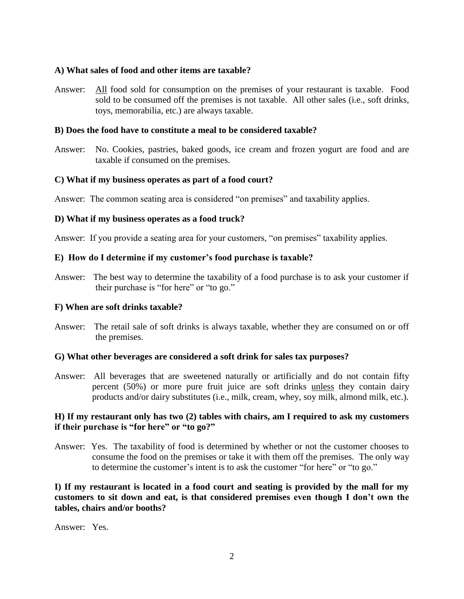## **A) What sales of food and other items are taxable?**

Answer: **All** food sold for consumption on the premises of your restaurant is taxable. Food sold to be consumed off the premises is not taxable. All other sales (i.e., soft drinks, toys, memorabilia, etc.) are always taxable.

#### **B) Does the food have to constitute a meal to be considered taxable?**

Answer: No. Cookies, pastries, baked goods, ice cream and frozen yogurt are food and are taxable if consumed on the premises.

#### **C) What if my business operates as part of a food court?**

Answer: The common seating area is considered "on premises" and taxability applies.

#### **D) What if my business operates as a food truck?**

Answer: If you provide a seating area for your customers, "on premises" taxability applies.

#### **E) How do I determine if my customer's food purchase is taxable?**

 Answer: The best way to determine the taxability of a food purchase is to ask your customer if their purchase is "for here" or "to go."

## **F) When are soft drinks taxable?**

Answer: The retail sale of soft drinks is always taxable, whether they are consumed on or off the premises.

#### **G) What other beverages are considered a soft drink for sales tax purposes?**

 Answer: All beverages that are sweetened naturally or artificially and do not contain fifty percent (50%) or more pure fruit juice are soft drinks unless they contain dairy products and/or dairy substitutes (i.e., milk, cream, whey, soy milk, almond milk, etc.).

#### **H) If my restaurant only has two (2) tables with chairs, am I required to ask my customers if their purchase is "for here" or "to go?"**

Answer: Yes. The taxability of food is determined by whether or not the customer chooses to consume the food on the premises or take it with them off the premises. The only way to determine the customer's intent is to ask the customer "for here" or "to go."

## **I) If my restaurant is located in a food court and seating is provided by the mall for my customers to sit down and eat, is that considered premises even though I don't own the tables, chairs and/or booths?**

Answer: Yes.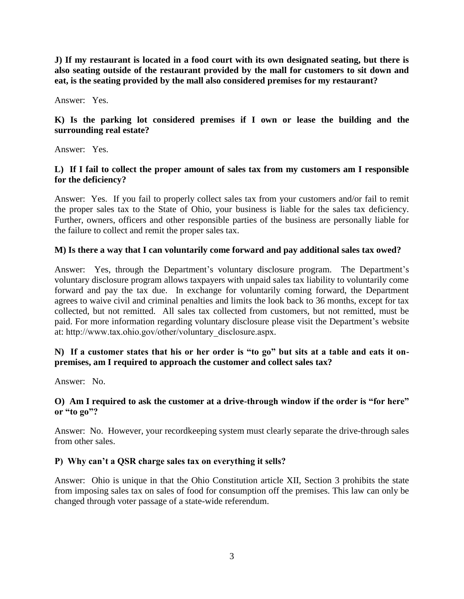**J) If my restaurant is located in a food court with its own designated seating, but there is also seating outside of the restaurant provided by the mall for customers to sit down and eat, is the seating provided by the mall also considered premises for my restaurant?** 

Answer: Yes.

## **K) Is the parking lot considered premises if I own or lease the building and the surrounding real estate?**

Answer: Yes.

## **L) If I fail to collect the proper amount of sales tax from my customers am I responsible for the deficiency?**

 Answer: Yes. If you fail to properly collect sales tax from your customers and/or fail to remit the proper sales tax to the State of Ohio, your business is liable for the sales tax deficiency. Further, owners, officers and other responsible parties of the business are personally liable for the failure to collect and remit the proper sales tax.

# **M) Is there a way that I can voluntarily come forward and pay additional sales tax owed?**

 Answer: Yes, through the Department's voluntary disclosure program. The Department's voluntary disclosure program allows taxpayers with unpaid sales tax liability to voluntarily come forward and pay the tax due. In exchange for voluntarily coming forward, the Department agrees to waive civil and criminal penalties and limits the look back to 36 months, except for tax collected, but not remitted. All sales tax collected from customers, but not remitted, must be paid. For more information regarding voluntary disclosure please visit the Department's website at: http://www.tax.ohio.gov/other/voluntary\_disclosure.aspx.

# **N)** If a customer states that his or her order is "to go" but sits at a table and eats it on**premises, am I required to approach the customer and collect sales tax?**

Answer: No.

## **O) Am I required to ask the customer at a drive-through window if the order is ―for here‖** or "to go"?

 Answer: No. However, your recordkeeping system must clearly separate the drive-through sales from other sales.

# **P) Why can't a QSR charge sales tax on everything it sells?**

 Answer: Ohio is unique in that the Ohio Constitution article XII, Section 3 prohibits the state from imposing sales tax on sales of food for consumption off the premises. This law can only be changed through voter passage of a state-wide referendum.